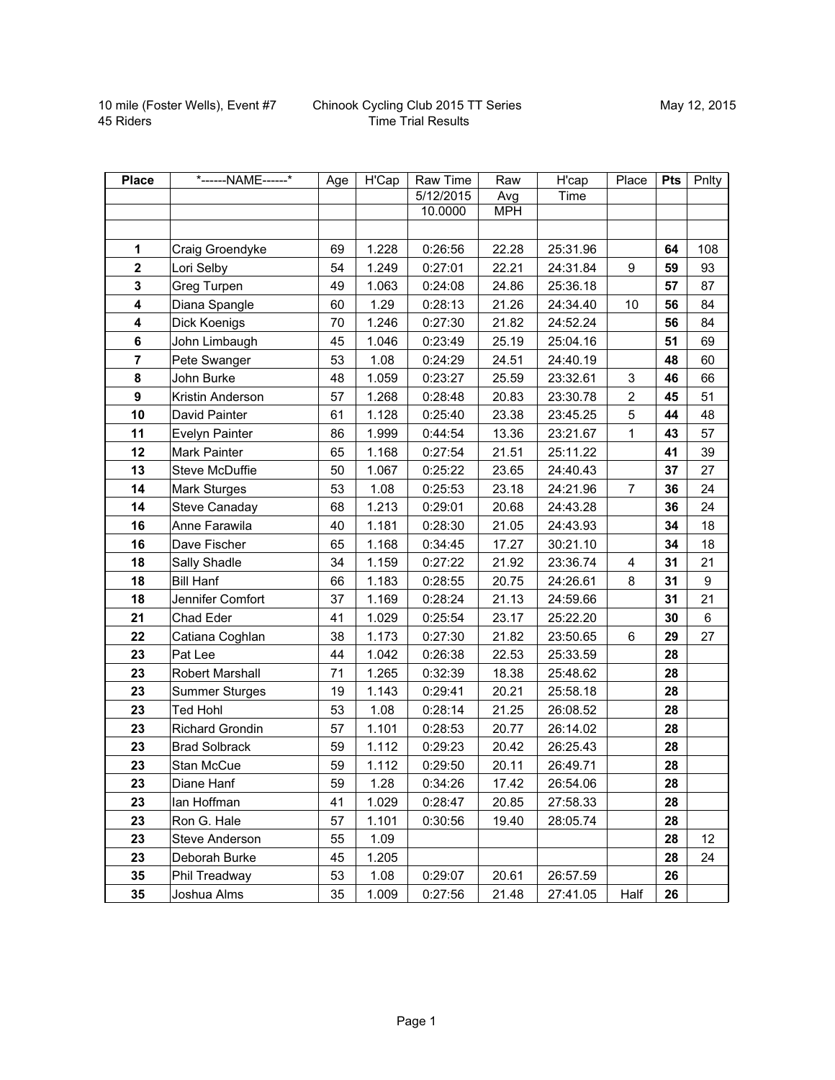| <b>Place</b>     | *------NAME------*     | Age | H'Cap | Raw Time  | Raw        | H'cap    | Place          | <b>Pts</b> | Pnlty |
|------------------|------------------------|-----|-------|-----------|------------|----------|----------------|------------|-------|
|                  |                        |     |       | 5/12/2015 | Avg        | Time     |                |            |       |
|                  |                        |     |       | 10.0000   | <b>MPH</b> |          |                |            |       |
|                  |                        |     |       |           |            |          |                |            |       |
| 1                | Craig Groendyke        | 69  | 1.228 | 0:26:56   | 22.28      | 25:31.96 |                | 64         | 108   |
| $\mathbf{2}$     | Lori Selby             | 54  | 1.249 | 0:27:01   | 22.21      | 24:31.84 | 9              | 59         | 93    |
| $\mathbf 3$      | Greg Turpen            | 49  | 1.063 | 0:24:08   | 24.86      | 25:36.18 |                | 57         | 87    |
| 4                | Diana Spangle          | 60  | 1.29  | 0:28:13   | 21.26      | 24:34.40 | 10             | 56         | 84    |
| 4                | Dick Koenigs           | 70  | 1.246 | 0:27:30   | 21.82      | 24:52.24 |                | 56         | 84    |
| 6                | John Limbaugh          | 45  | 1.046 | 0:23:49   | 25.19      | 25:04.16 |                | 51         | 69    |
| $\overline{7}$   | Pete Swanger           | 53  | 1.08  | 0:24:29   | 24.51      | 24:40.19 |                | 48         | 60    |
| 8                | John Burke             | 48  | 1.059 | 0:23:27   | 25.59      | 23:32.61 | 3              | 46         | 66    |
| $\boldsymbol{9}$ | Kristin Anderson       | 57  | 1.268 | 0:28:48   | 20.83      | 23:30.78 | $\overline{c}$ | 45         | 51    |
| 10               | David Painter          | 61  | 1.128 | 0:25:40   | 23.38      | 23:45.25 | 5              | 44         | 48    |
| 11               | Evelyn Painter         | 86  | 1.999 | 0:44:54   | 13.36      | 23:21.67 | $\mathbf{1}$   | 43         | 57    |
| 12               | Mark Painter           | 65  | 1.168 | 0:27:54   | 21.51      | 25:11.22 |                | 41         | 39    |
| 13               | Steve McDuffie         | 50  | 1.067 | 0:25:22   | 23.65      | 24:40.43 |                | 37         | 27    |
| 14               | <b>Mark Sturges</b>    | 53  | 1.08  | 0:25:53   | 23.18      | 24:21.96 | $\overline{7}$ | 36         | 24    |
| 14               | Steve Canaday          | 68  | 1.213 | 0:29:01   | 20.68      | 24:43.28 |                | 36         | 24    |
| 16               | Anne Farawila          | 40  | 1.181 | 0:28:30   | 21.05      | 24:43.93 |                | 34         | 18    |
| 16               | Dave Fischer           | 65  | 1.168 | 0:34:45   | 17.27      | 30:21.10 |                | 34         | 18    |
| 18               | Sally Shadle           | 34  | 1.159 | 0:27:22   | 21.92      | 23:36.74 | $\overline{4}$ | 31         | 21    |
| 18               | <b>Bill Hanf</b>       | 66  | 1.183 | 0:28:55   | 20.75      | 24:26.61 | 8              | 31         | 9     |
| 18               | Jennifer Comfort       | 37  | 1.169 | 0:28:24   | 21.13      | 24:59.66 |                | 31         | 21    |
| 21               | Chad Eder              | 41  | 1.029 | 0:25:54   | 23.17      | 25:22.20 |                | 30         | 6     |
| 22               | Catiana Coghlan        | 38  | 1.173 | 0:27:30   | 21.82      | 23:50.65 | 6              | 29         | 27    |
| 23               | Pat Lee                | 44  | 1.042 | 0:26:38   | 22.53      | 25:33.59 |                | 28         |       |
| 23               | Robert Marshall        | 71  | 1.265 | 0:32:39   | 18.38      | 25:48.62 |                | 28         |       |
| 23               | <b>Summer Sturges</b>  | 19  | 1.143 | 0:29:41   | 20.21      | 25:58.18 |                | 28         |       |
| 23               | Ted Hohl               | 53  | 1.08  | 0:28:14   | 21.25      | 26:08.52 |                | 28         |       |
| 23               | <b>Richard Grondin</b> | 57  | 1.101 | 0:28:53   | 20.77      | 26:14.02 |                | 28         |       |
| 23               | <b>Brad Solbrack</b>   | 59  | 1.112 | 0:29:23   | 20.42      | 26:25.43 |                | 28         |       |
| 23               | Stan McCue             | 59  | 1.112 | 0:29:50   | 20.11      | 26:49.71 |                | 28         |       |
| 23               | Diane Hanf             | 59  | 1.28  | 0:34:26   | 17.42      | 26:54.06 |                | 28         |       |
| 23               | lan Hoffman            | 41  | 1.029 | 0:28:47   | 20.85      | 27:58.33 |                | 28         |       |
| 23               | Ron G. Hale            | 57  | 1.101 | 0:30:56   | 19.40      | 28:05.74 |                | 28         |       |
| 23               | Steve Anderson         | 55  | 1.09  |           |            |          |                | 28         | 12    |
| 23               | Deborah Burke          | 45  | 1.205 |           |            |          |                | 28         | 24    |
| 35               | Phil Treadway          | 53  | 1.08  | 0:29:07   | 20.61      | 26:57.59 |                | 26         |       |
| 35               | Joshua Alms            | 35  | 1.009 | 0:27:56   | 21.48      | 27:41.05 | Half           | 26         |       |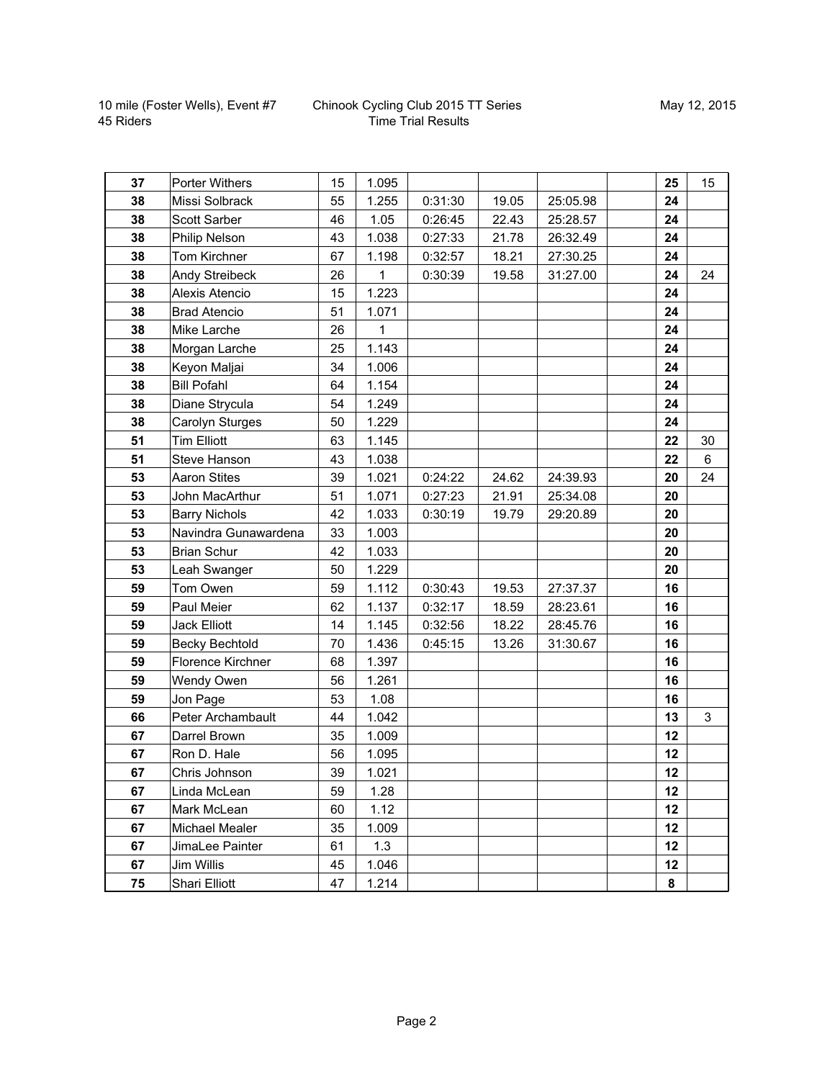## Chinook Cycling Club 2015 TT Series Time Trial Results

| 37 | <b>Porter Withers</b> | 15 | 1.095 |         |       |          | 25 | 15 |
|----|-----------------------|----|-------|---------|-------|----------|----|----|
| 38 | Missi Solbrack        | 55 | 1.255 | 0:31:30 | 19.05 | 25:05.98 | 24 |    |
| 38 | <b>Scott Sarber</b>   | 46 | 1.05  | 0:26:45 | 22.43 | 25:28.57 | 24 |    |
| 38 | Philip Nelson         | 43 | 1.038 | 0:27:33 | 21.78 | 26:32.49 | 24 |    |
| 38 | Tom Kirchner          | 67 | 1.198 | 0:32:57 | 18.21 | 27:30.25 | 24 |    |
| 38 | Andy Streibeck        | 26 | 1     | 0:30:39 | 19.58 | 31:27.00 | 24 | 24 |
| 38 | Alexis Atencio        | 15 | 1.223 |         |       |          | 24 |    |
| 38 | <b>Brad Atencio</b>   | 51 | 1.071 |         |       |          | 24 |    |
| 38 | Mike Larche           | 26 | 1     |         |       |          | 24 |    |
| 38 | Morgan Larche         | 25 | 1.143 |         |       |          | 24 |    |
| 38 | Keyon Maljai          | 34 | 1.006 |         |       |          | 24 |    |
| 38 | <b>Bill Pofahl</b>    | 64 | 1.154 |         |       |          | 24 |    |
| 38 | Diane Strycula        | 54 | 1.249 |         |       |          | 24 |    |
| 38 | Carolyn Sturges       | 50 | 1.229 |         |       |          | 24 |    |
| 51 | <b>Tim Elliott</b>    | 63 | 1.145 |         |       |          | 22 | 30 |
| 51 | Steve Hanson          | 43 | 1.038 |         |       |          | 22 | 6  |
| 53 | <b>Aaron Stites</b>   | 39 | 1.021 | 0:24:22 | 24.62 | 24:39.93 | 20 | 24 |
| 53 | John MacArthur        | 51 | 1.071 | 0:27:23 | 21.91 | 25:34.08 | 20 |    |
| 53 | <b>Barry Nichols</b>  | 42 | 1.033 | 0:30:19 | 19.79 | 29:20.89 | 20 |    |
| 53 | Navindra Gunawardena  | 33 | 1.003 |         |       |          | 20 |    |
| 53 | <b>Brian Schur</b>    | 42 | 1.033 |         |       |          | 20 |    |
| 53 | Leah Swanger          | 50 | 1.229 |         |       |          | 20 |    |
| 59 | Tom Owen              | 59 | 1.112 | 0:30:43 | 19.53 | 27:37.37 | 16 |    |
| 59 | Paul Meier            | 62 | 1.137 | 0:32:17 | 18.59 | 28:23.61 | 16 |    |
| 59 | <b>Jack Elliott</b>   | 14 | 1.145 | 0:32:56 | 18.22 | 28:45.76 | 16 |    |
| 59 | <b>Becky Bechtold</b> | 70 | 1.436 | 0:45:15 | 13.26 | 31:30.67 | 16 |    |
| 59 | Florence Kirchner     | 68 | 1.397 |         |       |          | 16 |    |
| 59 | Wendy Owen            | 56 | 1.261 |         |       |          | 16 |    |
| 59 | Jon Page              | 53 | 1.08  |         |       |          | 16 |    |
| 66 | Peter Archambault     | 44 | 1.042 |         |       |          | 13 | 3  |
| 67 | Darrel Brown          | 35 | 1.009 |         |       |          | 12 |    |
| 67 | Ron D. Hale           | 56 | 1.095 |         |       |          | 12 |    |
| 67 | Chris Johnson         | 39 | 1.021 |         |       |          | 12 |    |
| 67 | Linda McLean          | 59 | 1.28  |         |       |          | 12 |    |
| 67 | Mark McLean           | 60 | 1.12  |         |       |          | 12 |    |
| 67 | Michael Mealer        | 35 | 1.009 |         |       |          | 12 |    |
| 67 | JimaLee Painter       | 61 | 1.3   |         |       |          | 12 |    |
| 67 | Jim Willis            | 45 | 1.046 |         |       |          | 12 |    |
| 75 | Shari Elliott         | 47 | 1.214 |         |       |          | 8  |    |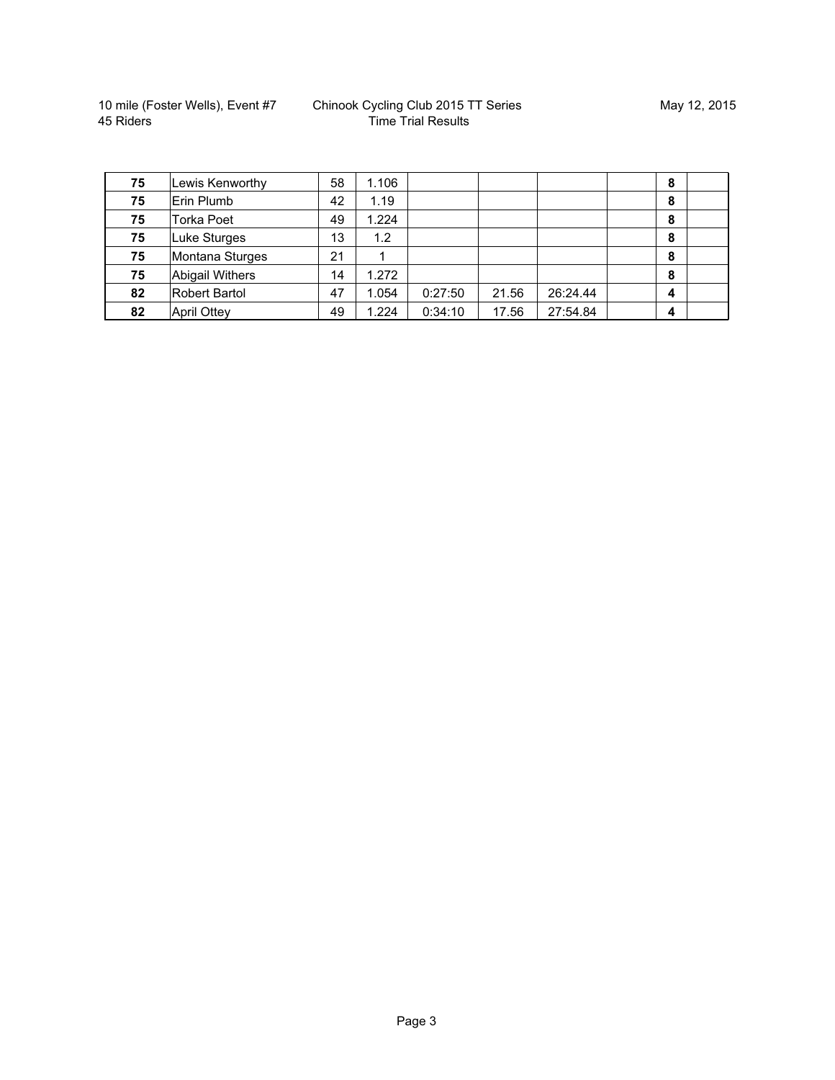| 75 | Lewis Kenworthy        | 58 | 1.106 |         |       |          | 8 |  |
|----|------------------------|----|-------|---------|-------|----------|---|--|
| 75 | Erin Plumb             | 42 | 1.19  |         |       |          | 8 |  |
| 75 | <b>Torka Poet</b>      | 49 | 1.224 |         |       |          | 8 |  |
| 75 | Luke Sturges           | 13 | 1.2   |         |       |          | 8 |  |
| 75 | Montana Sturges        | 21 |       |         |       |          | 8 |  |
| 75 | <b>Abigail Withers</b> | 14 | 1.272 |         |       |          | 8 |  |
| 82 | <b>Robert Bartol</b>   | 47 | 1.054 | 0:27:50 | 21.56 | 26:24.44 | 4 |  |
| 82 | <b>April Ottey</b>     | 49 | 1.224 | 0:34:10 | 17.56 | 27:54.84 | 4 |  |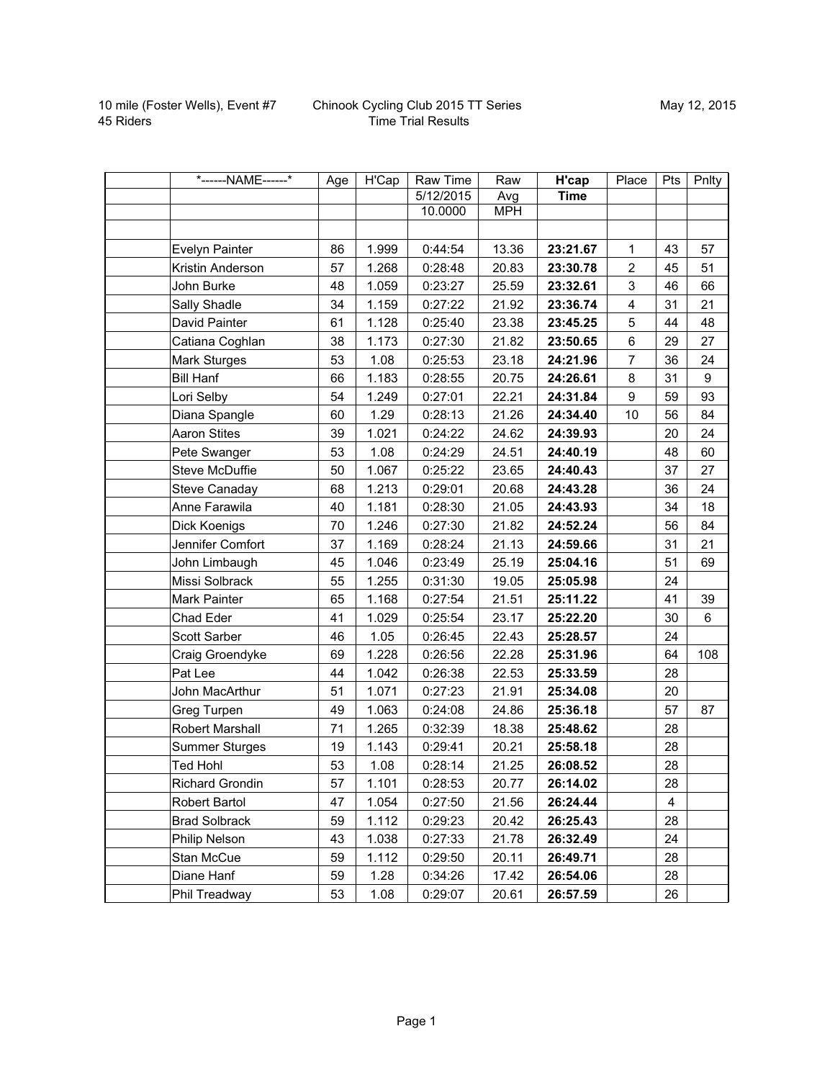| *------NAME------*     | Age | H'Cap | Raw Time  | Raw        | H'cap       | Place          | Pts | Pnlty |
|------------------------|-----|-------|-----------|------------|-------------|----------------|-----|-------|
|                        |     |       | 5/12/2015 | Avg        | <b>Time</b> |                |     |       |
|                        |     |       | 10.0000   | <b>MPH</b> |             |                |     |       |
|                        |     |       |           |            |             |                |     |       |
| Evelyn Painter         | 86  | 1.999 | 0:44:54   | 13.36      | 23:21.67    | 1              | 43  | 57    |
| Kristin Anderson       | 57  | 1.268 | 0:28:48   | 20.83      | 23:30.78    | $\overline{2}$ | 45  | 51    |
| John Burke             | 48  | 1.059 | 0:23:27   | 25.59      | 23:32.61    | 3              | 46  | 66    |
| Sally Shadle           | 34  | 1.159 | 0:27:22   | 21.92      | 23:36.74    | 4              | 31  | 21    |
| David Painter          | 61  | 1.128 | 0:25:40   | 23.38      | 23:45.25    | 5              | 44  | 48    |
| Catiana Coghlan        | 38  | 1.173 | 0:27:30   | 21.82      | 23:50.65    | 6              | 29  | 27    |
| <b>Mark Sturges</b>    | 53  | 1.08  | 0:25:53   | 23.18      | 24:21.96    | $\overline{7}$ | 36  | 24    |
| <b>Bill Hanf</b>       | 66  | 1.183 | 0:28:55   | 20.75      | 24:26.61    | 8              | 31  | 9     |
| Lori Selby             | 54  | 1.249 | 0:27:01   | 22.21      | 24:31.84    | 9              | 59  | 93    |
| Diana Spangle          | 60  | 1.29  | 0:28:13   | 21.26      | 24:34.40    | 10             | 56  | 84    |
| <b>Aaron Stites</b>    | 39  | 1.021 | 0:24:22   | 24.62      | 24:39.93    |                | 20  | 24    |
| Pete Swanger           | 53  | 1.08  | 0:24:29   | 24.51      | 24:40.19    |                | 48  | 60    |
| Steve McDuffie         | 50  | 1.067 | 0:25:22   | 23.65      | 24:40.43    |                | 37  | 27    |
| Steve Canaday          | 68  | 1.213 | 0:29:01   | 20.68      | 24:43.28    |                | 36  | 24    |
| Anne Farawila          | 40  | 1.181 | 0:28:30   | 21.05      | 24:43.93    |                | 34  | 18    |
| Dick Koenigs           | 70  | 1.246 | 0:27:30   | 21.82      | 24:52.24    |                | 56  | 84    |
| Jennifer Comfort       | 37  | 1.169 | 0:28:24   | 21.13      | 24:59.66    |                | 31  | 21    |
| John Limbaugh          | 45  | 1.046 | 0:23:49   | 25.19      | 25:04.16    |                | 51  | 69    |
| Missi Solbrack         | 55  | 1.255 | 0:31:30   | 19.05      | 25:05.98    |                | 24  |       |
| Mark Painter           | 65  | 1.168 | 0:27:54   | 21.51      | 25:11.22    |                | 41  | 39    |
| Chad Eder              | 41  | 1.029 | 0:25:54   | 23.17      | 25:22.20    |                | 30  | 6     |
| Scott Sarber           | 46  | 1.05  | 0:26:45   | 22.43      | 25:28.57    |                | 24  |       |
| Craig Groendyke        | 69  | 1.228 | 0:26:56   | 22.28      | 25:31.96    |                | 64  | 108   |
| Pat Lee                | 44  | 1.042 | 0:26:38   | 22.53      | 25:33.59    |                | 28  |       |
| John MacArthur         | 51  | 1.071 | 0:27:23   | 21.91      | 25:34.08    |                | 20  |       |
| Greg Turpen            | 49  | 1.063 | 0:24:08   | 24.86      | 25:36.18    |                | 57  | 87    |
| Robert Marshall        | 71  | 1.265 | 0:32:39   | 18.38      | 25:48.62    |                | 28  |       |
| <b>Summer Sturges</b>  | 19  | 1.143 | 0:29:41   | 20.21      | 25:58.18    |                | 28  |       |
| <b>Ted Hohl</b>        | 53  | 1.08  | 0:28:14   | 21.25      | 26:08.52    |                | 28  |       |
| <b>Richard Grondin</b> | 57  | 1.101 | 0:28:53   | 20.77      | 26:14.02    |                | 28  |       |
| Robert Bartol          | 47  | 1.054 | 0:27:50   | 21.56      | 26:24.44    |                | 4   |       |
| <b>Brad Solbrack</b>   | 59  | 1.112 | 0:29:23   | 20.42      | 26:25.43    |                | 28  |       |
| Philip Nelson          | 43  | 1.038 | 0:27:33   | 21.78      | 26:32.49    |                | 24  |       |
| Stan McCue             | 59  | 1.112 | 0:29:50   | 20.11      | 26:49.71    |                | 28  |       |
| Diane Hanf             | 59  | 1.28  | 0:34:26   | 17.42      | 26:54.06    |                | 28  |       |
| Phil Treadway          | 53  | 1.08  | 0:29:07   | 20.61      | 26:57.59    |                | 26  |       |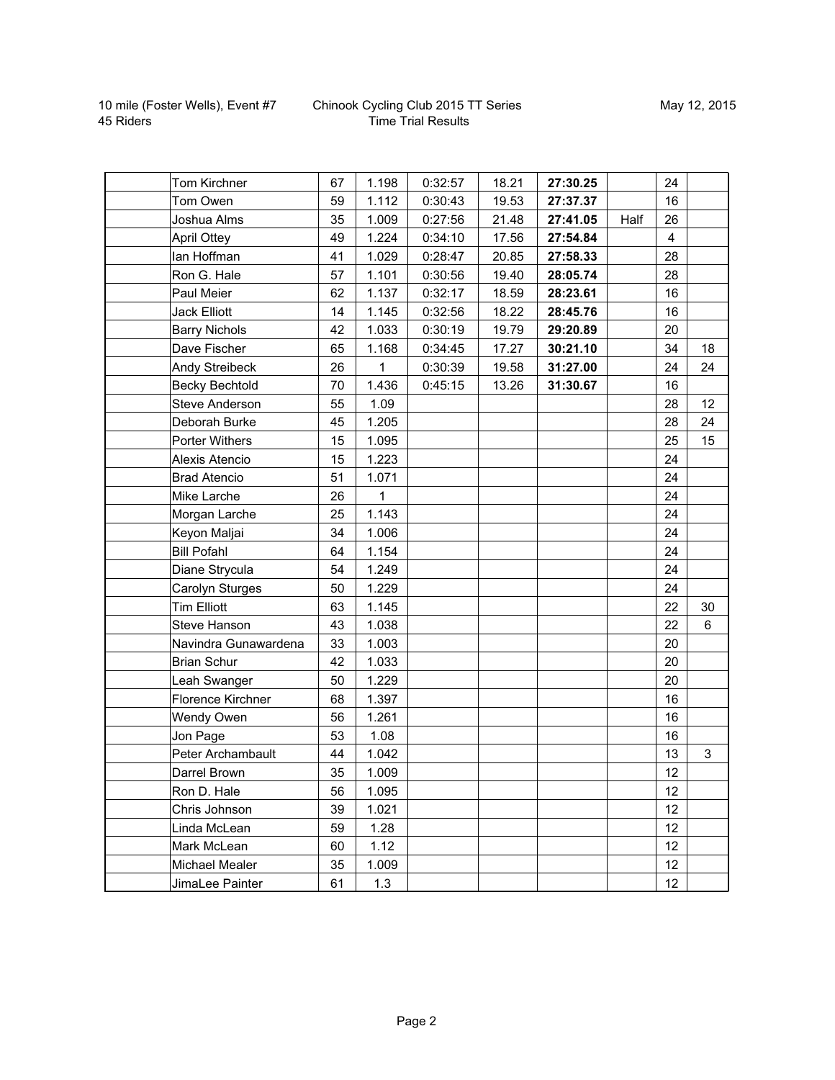## Chinook Cycling Club 2015 TT Series Time Trial Results

| Tom Kirchner          | 67 | 1.198 | 0:32:57 | 18.21 | 27:30.25 |      | 24             |                |
|-----------------------|----|-------|---------|-------|----------|------|----------------|----------------|
| Tom Owen              | 59 | 1.112 | 0:30:43 | 19.53 | 27:37.37 |      | 16             |                |
| Joshua Alms           | 35 | 1.009 | 0:27:56 | 21.48 | 27:41.05 | Half | 26             |                |
| <b>April Ottey</b>    | 49 | 1.224 | 0:34:10 | 17.56 | 27:54.84 |      | $\overline{4}$ |                |
| lan Hoffman           | 41 | 1.029 | 0:28:47 | 20.85 | 27:58.33 |      | 28             |                |
| Ron G. Hale           | 57 | 1.101 | 0:30:56 | 19.40 | 28:05.74 |      | 28             |                |
| Paul Meier            | 62 | 1.137 | 0:32:17 | 18.59 | 28:23.61 |      | 16             |                |
| <b>Jack Elliott</b>   | 14 | 1.145 | 0:32:56 | 18.22 | 28:45.76 |      | 16             |                |
| <b>Barry Nichols</b>  | 42 | 1.033 | 0:30:19 | 19.79 | 29:20.89 |      | 20             |                |
| Dave Fischer          | 65 | 1.168 | 0:34:45 | 17.27 | 30:21.10 |      | 34             | 18             |
| Andy Streibeck        | 26 | 1     | 0:30:39 | 19.58 | 31:27.00 |      | 24             | 24             |
| <b>Becky Bechtold</b> | 70 | 1.436 | 0:45:15 | 13.26 | 31:30.67 |      | 16             |                |
| <b>Steve Anderson</b> | 55 | 1.09  |         |       |          |      | 28             | 12             |
| Deborah Burke         | 45 | 1.205 |         |       |          |      | 28             | 24             |
| Porter Withers        | 15 | 1.095 |         |       |          |      | 25             | 15             |
| Alexis Atencio        | 15 | 1.223 |         |       |          |      | 24             |                |
| <b>Brad Atencio</b>   | 51 | 1.071 |         |       |          |      | 24             |                |
| Mike Larche           | 26 | 1     |         |       |          |      | 24             |                |
| Morgan Larche         | 25 | 1.143 |         |       |          |      | 24             |                |
| Keyon Maljai          | 34 | 1.006 |         |       |          |      | 24             |                |
| <b>Bill Pofahl</b>    | 64 | 1.154 |         |       |          |      | 24             |                |
| Diane Strycula        | 54 | 1.249 |         |       |          |      | 24             |                |
| Carolyn Sturges       | 50 | 1.229 |         |       |          |      | 24             |                |
| <b>Tim Elliott</b>    | 63 | 1.145 |         |       |          |      | 22             | 30             |
| Steve Hanson          | 43 | 1.038 |         |       |          |      | 22             | $6\phantom{a}$ |
| Navindra Gunawardena  | 33 | 1.003 |         |       |          |      | 20             |                |
| <b>Brian Schur</b>    | 42 | 1.033 |         |       |          |      | 20             |                |
| Leah Swanger          | 50 | 1.229 |         |       |          |      | 20             |                |
| Florence Kirchner     | 68 | 1.397 |         |       |          |      | 16             |                |
| Wendy Owen            | 56 | 1.261 |         |       |          |      | 16             |                |
| Jon Page              | 53 | 1.08  |         |       |          |      | 16             |                |
| Peter Archambault     | 44 | 1.042 |         |       |          |      | 13             | 3              |
| Darrel Brown          | 35 | 1.009 |         |       |          |      | 12             |                |
| Ron D. Hale           | 56 | 1.095 |         |       |          |      | 12             |                |
| Chris Johnson         | 39 | 1.021 |         |       |          |      | 12             |                |
| Linda McLean          | 59 | 1.28  |         |       |          |      | 12             |                |
| Mark McLean           | 60 | 1.12  |         |       |          |      | 12             |                |
| <b>Michael Mealer</b> | 35 | 1.009 |         |       |          |      | 12             |                |
| JimaLee Painter       | 61 | 1.3   |         |       |          |      | 12             |                |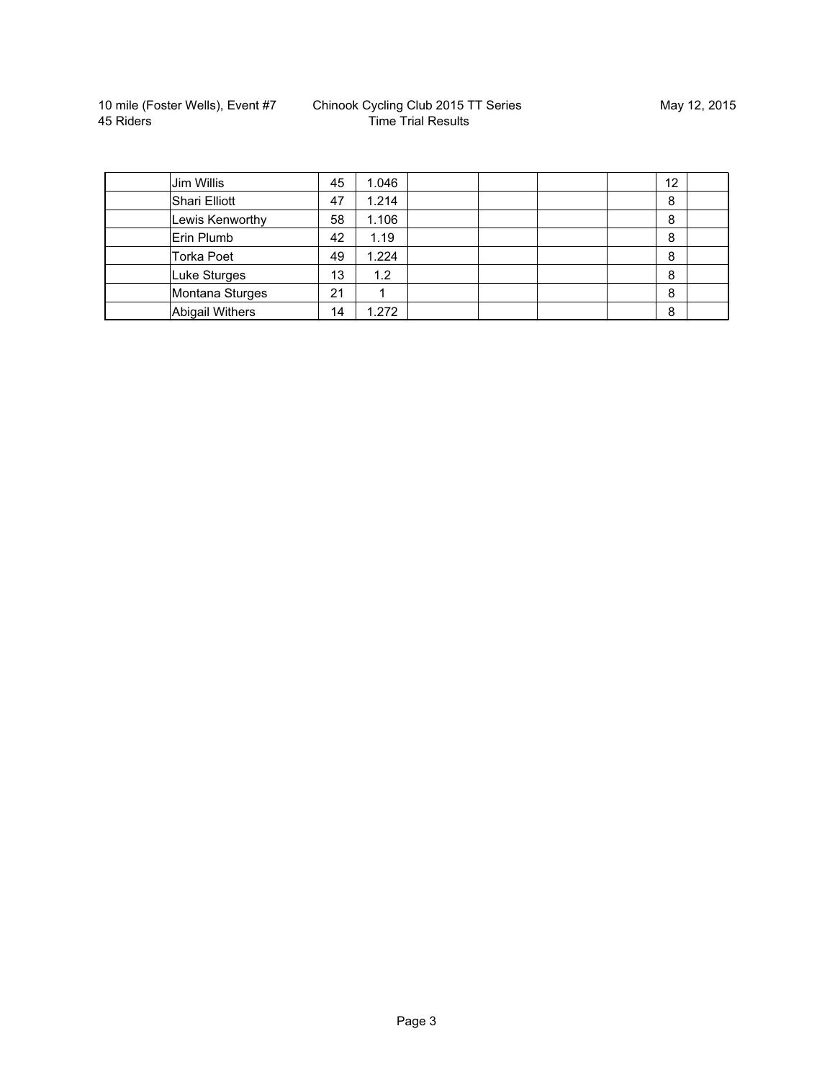| Jim Willis             | 45 | 1.046 |  |  | 12 |  |
|------------------------|----|-------|--|--|----|--|
| Shari Elliott          | 47 | 1.214 |  |  | 8  |  |
| Lewis Kenworthy        | 58 | 1.106 |  |  | 8  |  |
| Erin Plumb             | 42 | 1.19  |  |  | 8  |  |
| <b>Torka Poet</b>      | 49 | 1.224 |  |  | 8  |  |
| Luke Sturges           | 13 | 1.2   |  |  | 8  |  |
| Montana Sturges        | 21 |       |  |  | 8  |  |
| <b>Abigail Withers</b> | 14 | .272  |  |  | 8  |  |